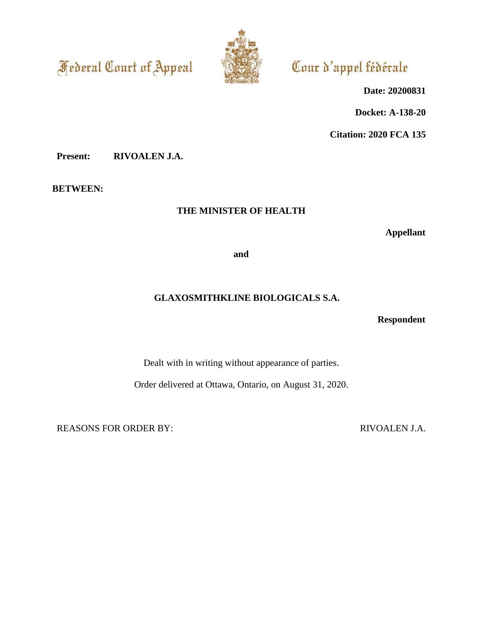**Federal Court of Appeal** 



# Cour d'appel fédérale

**Date: 20200831**

**Docket: A-138-20**

**Citation: 2020 FCA 135**

**Present: RIVOALEN J.A.**

**BETWEEN:**

# **THE MINISTER OF HEALTH**

**Appellant**

**and**

# **GLAXOSMITHKLINE BIOLOGICALS S.A.**

**Respondent**

Dealt with in writing without appearance of parties.

Order delivered at Ottawa, Ontario, on August 31, 2020.

REASONS FOR ORDER BY: RIVOALEN J.A.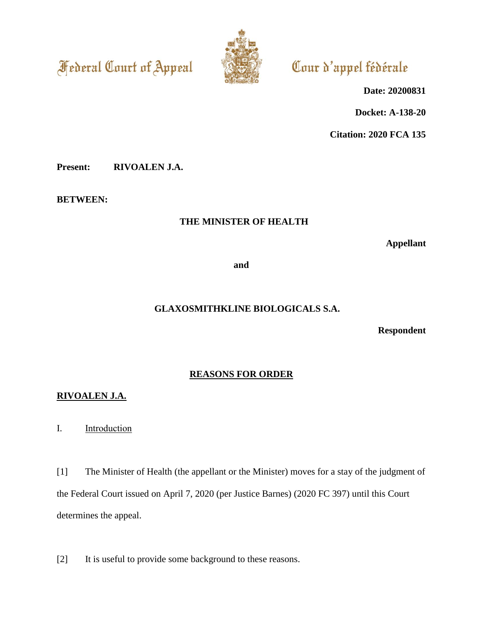**Federal Court of Appeal** 



# Cour d'appel fédérale

**Date: 20200831**

**Docket: A-138-20**

**Citation: 2020 FCA 135**

**Present: RIVOALEN J.A.**

**BETWEEN:**

# **THE MINISTER OF HEALTH**

**Appellant**

**and**

# **GLAXOSMITHKLINE BIOLOGICALS S.A.**

**Respondent**

## **REASONS FOR ORDER**

# **RIVOALEN J.A.**

I. Introduction

[1] The Minister of Health (the appellant or the Minister) moves for a stay of the judgment of the Federal Court issued on April 7, 2020 (per Justice Barnes) (2020 FC 397) until this Court determines the appeal.

[2] It is useful to provide some background to these reasons.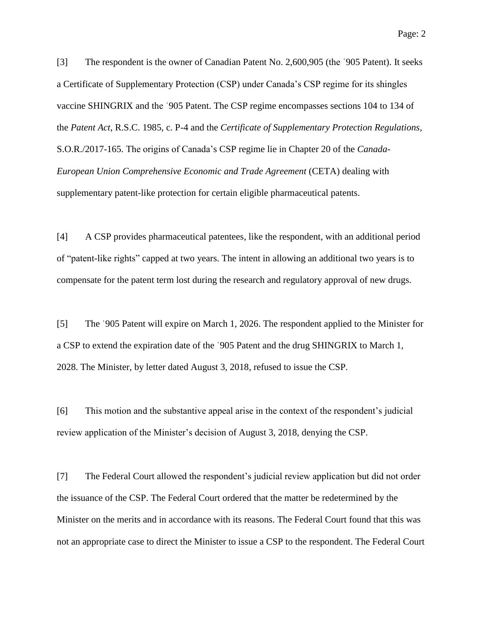[3] The respondent is the owner of Canadian Patent No. 2,600,905 (the ʿ905 Patent). It seeks a Certificate of Supplementary Protection (CSP) under Canada's CSP regime for its shingles vaccine SHINGRIX and the ʿ905 Patent. The CSP regime encompasses sections 104 to 134 of the *Patent Act*, R.S.C. 1985, c. P-4 and the *Certificate of Supplementary Protection Regulations*, S.O.R./2017-165. The origins of Canada's CSP regime lie in Chapter 20 of the *Canada-European Union Comprehensive Economic and Trade Agreement* (CETA) dealing with supplementary patent-like protection for certain eligible pharmaceutical patents.

[4] A CSP provides pharmaceutical patentees, like the respondent, with an additional period of "patent-like rights" capped at two years. The intent in allowing an additional two years is to compensate for the patent term lost during the research and regulatory approval of new drugs.

[5] The ʿ905 Patent will expire on March 1, 2026. The respondent applied to the Minister for a CSP to extend the expiration date of the ʿ905 Patent and the drug SHINGRIX to March 1, 2028. The Minister, by letter dated August 3, 2018, refused to issue the CSP.

[6] This motion and the substantive appeal arise in the context of the respondent's judicial review application of the Minister's decision of August 3, 2018, denying the CSP.

[7] The Federal Court allowed the respondent's judicial review application but did not order the issuance of the CSP. The Federal Court ordered that the matter be redetermined by the Minister on the merits and in accordance with its reasons. The Federal Court found that this was not an appropriate case to direct the Minister to issue a CSP to the respondent. The Federal Court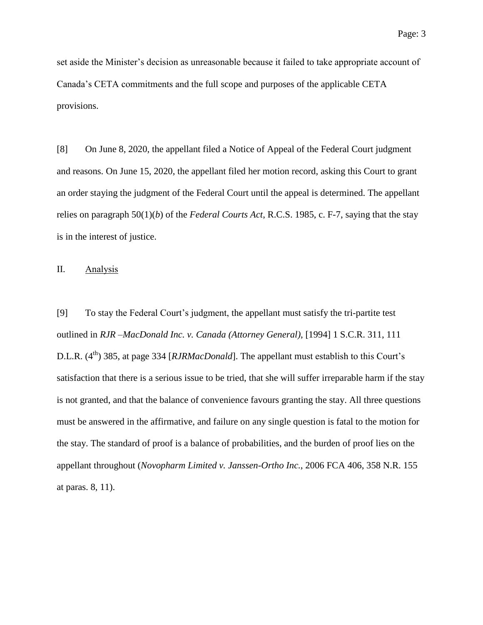set aside the Minister's decision as unreasonable because it failed to take appropriate account of Canada's CETA commitments and the full scope and purposes of the applicable CETA provisions.

[8] On June 8, 2020, the appellant filed a Notice of Appeal of the Federal Court judgment and reasons. On June 15, 2020, the appellant filed her motion record, asking this Court to grant an order staying the judgment of the Federal Court until the appeal is determined. The appellant relies on paragraph 50(1)(*b*) of the *Federal Courts Act*, R.C.S. 1985, c. F-7, saying that the stay is in the interest of justice.

### II. Analysis

[9] To stay the Federal Court's judgment, the appellant must satisfy the tri-partite test outlined in *RJR –MacDonald Inc. v. Canada (Attorney General)*, [1994] 1 S.C.R. 311, 111 D.L.R.  $(4^{th})$  385, at page 334 [*RJRMacDonald*]. The appellant must establish to this Court's satisfaction that there is a serious issue to be tried, that she will suffer irreparable harm if the stay is not granted, and that the balance of convenience favours granting the stay. All three questions must be answered in the affirmative, and failure on any single question is fatal to the motion for the stay. The standard of proof is a balance of probabilities, and the burden of proof lies on the appellant throughout (*Novopharm Limited v. Janssen-Ortho Inc.*, 2006 FCA 406, 358 N.R. 155 at paras. 8, 11).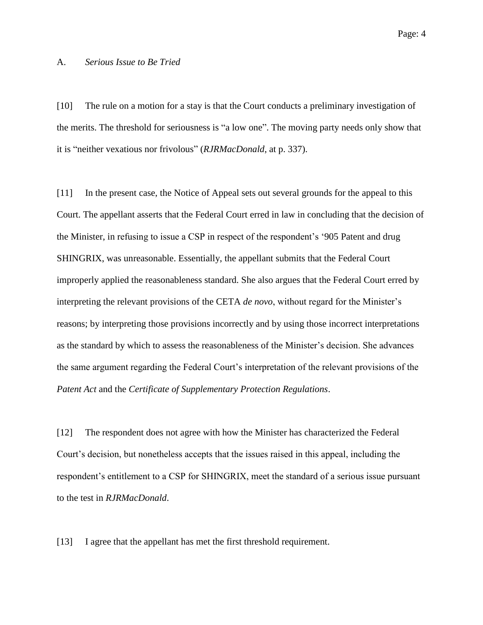#### A. *Serious Issue to Be Tried*

[10] The rule on a motion for a stay is that the Court conducts a preliminary investigation of the merits. The threshold for seriousness is "a low one". The moving party needs only show that it is "neither vexatious nor frivolous" (*RJRMacDonald*, at p. 337).

[11] In the present case, the Notice of Appeal sets out several grounds for the appeal to this Court. The appellant asserts that the Federal Court erred in law in concluding that the decision of the Minister, in refusing to issue a CSP in respect of the respondent's '905 Patent and drug SHINGRIX, was unreasonable. Essentially, the appellant submits that the Federal Court improperly applied the reasonableness standard. She also argues that the Federal Court erred by interpreting the relevant provisions of the CETA *de novo*, without regard for the Minister's reasons; by interpreting those provisions incorrectly and by using those incorrect interpretations as the standard by which to assess the reasonableness of the Minister's decision. She advances the same argument regarding the Federal Court's interpretation of the relevant provisions of the *Patent Act* and the *Certificate of Supplementary Protection Regulations*.

[12] The respondent does not agree with how the Minister has characterized the Federal Court's decision, but nonetheless accepts that the issues raised in this appeal, including the respondent's entitlement to a CSP for SHINGRIX, meet the standard of a serious issue pursuant to the test in *RJRMacDonald*.

[13] I agree that the appellant has met the first threshold requirement.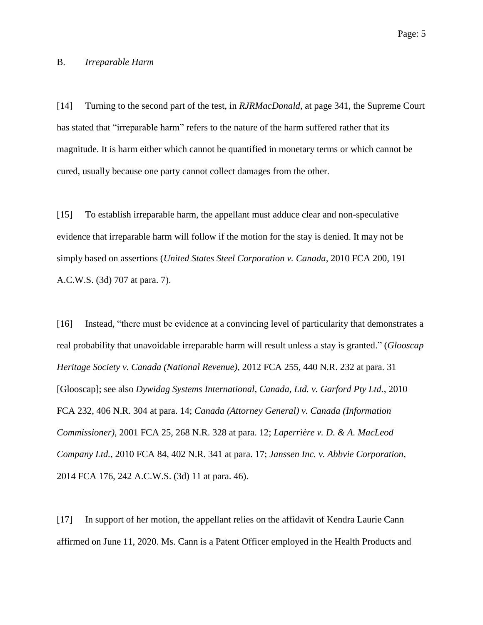#### B. *Irreparable Harm*

[14] Turning to the second part of the test, in *RJRMacDonald*, at page 341, the Supreme Court has stated that "irreparable harm" refers to the nature of the harm suffered rather that its magnitude. It is harm either which cannot be quantified in monetary terms or which cannot be cured, usually because one party cannot collect damages from the other.

[15] To establish irreparable harm, the appellant must adduce clear and non-speculative evidence that irreparable harm will follow if the motion for the stay is denied. It may not be simply based on assertions (*United States Steel Corporation v. Canada*, 2010 FCA 200, 191 A.C.W.S. (3d) 707 at para. 7).

[16] Instead, "there must be evidence at a convincing level of particularity that demonstrates a real probability that unavoidable irreparable harm will result unless a stay is granted." (*Glooscap Heritage Society v. Canada (National Revenue)*, 2012 FCA 255, 440 N.R. 232 at para. 31 [Glooscap]; see also *Dywidag Systems International, Canada, Ltd. v. Garford Pty Ltd.*, 2010 FCA 232, 406 N.R. 304 at para. 14; *Canada (Attorney General) v. Canada (Information Commissioner)*, 2001 FCA 25, 268 N.R. 328 at para. 12; *Laperrière v. D. & A. MacLeod Company Ltd.*, 2010 FCA 84, 402 N.R. 341 at para. 17; *Janssen Inc. v. Abbvie Corporation*, 2014 FCA 176, 242 A.C.W.S. (3d) 11 at para. 46).

[17] In support of her motion, the appellant relies on the affidavit of Kendra Laurie Cann affirmed on June 11, 2020. Ms. Cann is a Patent Officer employed in the Health Products and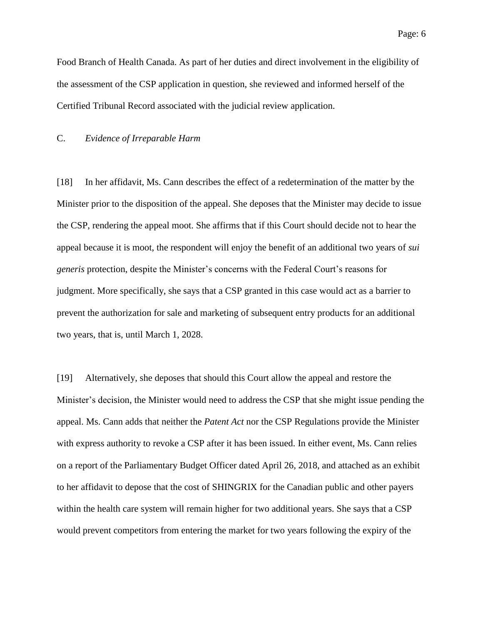Food Branch of Health Canada. As part of her duties and direct involvement in the eligibility of the assessment of the CSP application in question, she reviewed and informed herself of the Certified Tribunal Record associated with the judicial review application.

#### C. *Evidence of Irreparable Harm*

[18] In her affidavit, Ms. Cann describes the effect of a redetermination of the matter by the Minister prior to the disposition of the appeal. She deposes that the Minister may decide to issue the CSP, rendering the appeal moot. She affirms that if this Court should decide not to hear the appeal because it is moot, the respondent will enjoy the benefit of an additional two years of *sui generis* protection, despite the Minister's concerns with the Federal Court's reasons for judgment. More specifically, she says that a CSP granted in this case would act as a barrier to prevent the authorization for sale and marketing of subsequent entry products for an additional two years, that is, until March 1, 2028.

[19] Alternatively, she deposes that should this Court allow the appeal and restore the Minister's decision, the Minister would need to address the CSP that she might issue pending the appeal. Ms. Cann adds that neither the *Patent Act* nor the CSP Regulations provide the Minister with express authority to revoke a CSP after it has been issued. In either event, Ms. Cann relies on a report of the Parliamentary Budget Officer dated April 26, 2018, and attached as an exhibit to her affidavit to depose that the cost of SHINGRIX for the Canadian public and other payers within the health care system will remain higher for two additional years. She says that a CSP would prevent competitors from entering the market for two years following the expiry of the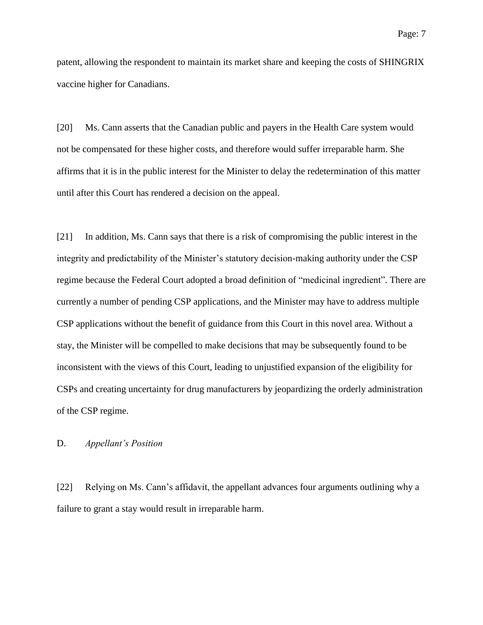patent, allowing the respondent to maintain its market share and keeping the costs of SHINGRIX vaccine higher for Canadians.

[20] Ms. Cann asserts that the Canadian public and payers in the Health Care system would not be compensated for these higher costs, and therefore would suffer irreparable harm. She affirms that it is in the public interest for the Minister to delay the redetermination of this matter until after this Court has rendered a decision on the appeal.

[21] In addition, Ms. Cann says that there is a risk of compromising the public interest in the integrity and predictability of the Minister's statutory decision-making authority under the CSP regime because the Federal Court adopted a broad definition of "medicinal ingredient". There are currently a number of pending CSP applications, and the Minister may have to address multiple CSP applications without the benefit of guidance from this Court in this novel area. Without a stay, the Minister will be compelled to make decisions that may be subsequently found to be inconsistent with the views of this Court, leading to unjustified expansion of the eligibility for CSPs and creating uncertainty for drug manufacturers by jeopardizing the orderly administration of the CSP regime.

#### D. *Appellant's Position*

[22] Relying on Ms. Cann's affidavit, the appellant advances four arguments outlining why a failure to grant a stay would result in irreparable harm.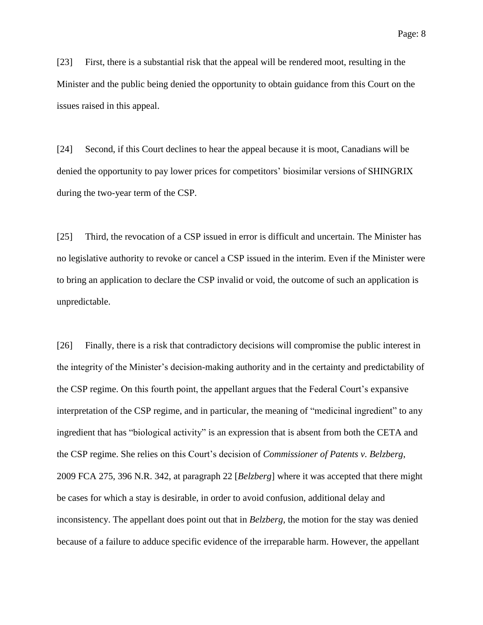[23] First, there is a substantial risk that the appeal will be rendered moot, resulting in the Minister and the public being denied the opportunity to obtain guidance from this Court on the issues raised in this appeal.

[24] Second, if this Court declines to hear the appeal because it is moot, Canadians will be denied the opportunity to pay lower prices for competitors' biosimilar versions of SHINGRIX during the two-year term of the CSP.

[25] Third, the revocation of a CSP issued in error is difficult and uncertain. The Minister has no legislative authority to revoke or cancel a CSP issued in the interim. Even if the Minister were to bring an application to declare the CSP invalid or void, the outcome of such an application is unpredictable.

[26] Finally, there is a risk that contradictory decisions will compromise the public interest in the integrity of the Minister's decision-making authority and in the certainty and predictability of the CSP regime. On this fourth point, the appellant argues that the Federal Court's expansive interpretation of the CSP regime, and in particular, the meaning of "medicinal ingredient" to any ingredient that has "biological activity" is an expression that is absent from both the CETA and the CSP regime. She relies on this Court's decision of *Commissioner of Patents v. Belzberg*, 2009 FCA 275, 396 N.R. 342, at paragraph 22 [*Belzberg*] where it was accepted that there might be cases for which a stay is desirable, in order to avoid confusion, additional delay and inconsistency. The appellant does point out that in *Belzberg,* the motion for the stay was denied because of a failure to adduce specific evidence of the irreparable harm. However, the appellant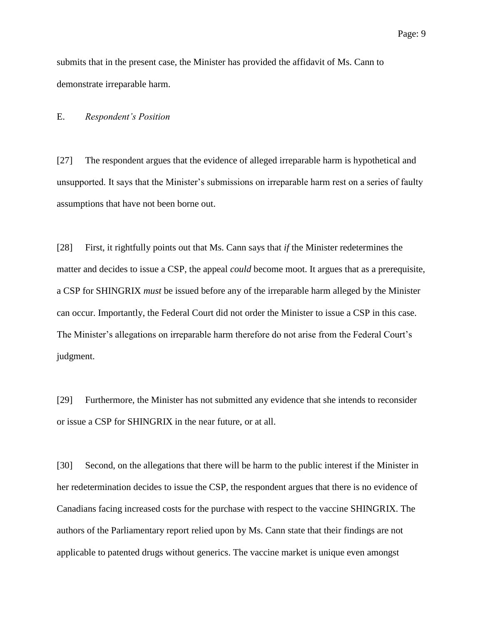submits that in the present case, the Minister has provided the affidavit of Ms. Cann to demonstrate irreparable harm.

#### E. *Respondent's Position*

[27] The respondent argues that the evidence of alleged irreparable harm is hypothetical and unsupported. It says that the Minister's submissions on irreparable harm rest on a series of faulty assumptions that have not been borne out.

[28] First, it rightfully points out that Ms. Cann says that *if* the Minister redetermines the matter and decides to issue a CSP, the appeal *could* become moot. It argues that as a prerequisite, a CSP for SHINGRIX *must* be issued before any of the irreparable harm alleged by the Minister can occur. Importantly, the Federal Court did not order the Minister to issue a CSP in this case. The Minister's allegations on irreparable harm therefore do not arise from the Federal Court's judgment.

[29] Furthermore, the Minister has not submitted any evidence that she intends to reconsider or issue a CSP for SHINGRIX in the near future, or at all.

<span id="page-9-0"></span>[30] Second, on the allegations that there will be harm to the public interest if the Minister in her redetermination decides to issue the CSP, the respondent argues that there is no evidence of Canadians facing increased costs for the purchase with respect to the vaccine SHINGRIX. The authors of the Parliamentary report relied upon by Ms. Cann state that their findings are not applicable to patented drugs without generics. The vaccine market is unique even amongst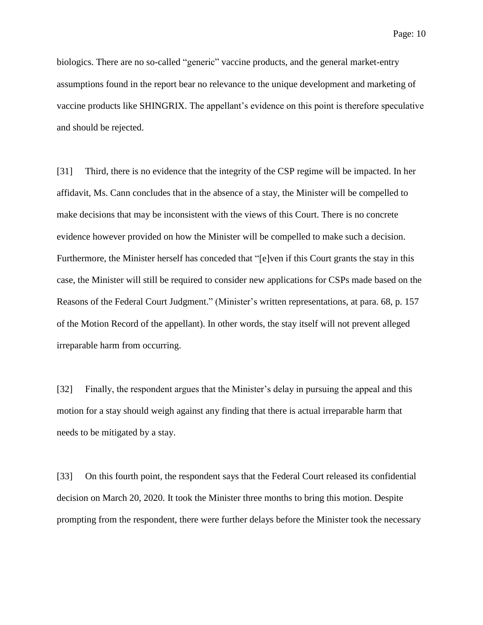biologics. There are no so-called "generic" vaccine products, and the general market-entry assumptions found in the report bear no relevance to the unique development and marketing of vaccine products like SHINGRIX. The appellant's evidence on this point is therefore speculative and should be rejected.

[31] Third, there is no evidence that the integrity of the CSP regime will be impacted. In her affidavit, Ms. Cann concludes that in the absence of a stay, the Minister will be compelled to make decisions that may be inconsistent with the views of this Court. There is no concrete evidence however provided on how the Minister will be compelled to make such a decision. Furthermore, the Minister herself has conceded that "[e]ven if this Court grants the stay in this case, the Minister will still be required to consider new applications for CSPs made based on the Reasons of the Federal Court Judgment." (Minister's written representations, at para. 68, p. 157 of the Motion Record of the appellant). In other words, the stay itself will not prevent alleged irreparable harm from occurring.

[32] Finally, the respondent argues that the Minister's delay in pursuing the appeal and this motion for a stay should weigh against any finding that there is actual irreparable harm that needs to be mitigated by a stay.

[33] On this fourth point, the respondent says that the Federal Court released its confidential decision on March 20, 2020. It took the Minister three months to bring this motion. Despite prompting from the respondent, there were further delays before the Minister took the necessary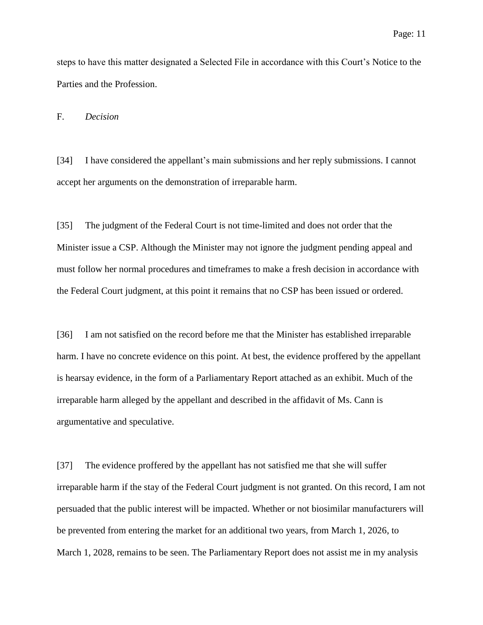steps to have this matter designated a Selected File in accordance with this Court's Notice to the Parties and the Profession.

F. *Decision*

[34] I have considered the appellant's main submissions and her reply submissions. I cannot accept her arguments on the demonstration of irreparable harm.

[35] The judgment of the Federal Court is not time-limited and does not order that the Minister issue a CSP. Although the Minister may not ignore the judgment pending appeal and must follow her normal procedures and timeframes to make a fresh decision in accordance with the Federal Court judgment, at this point it remains that no CSP has been issued or ordered.

[36] I am not satisfied on the record before me that the Minister has established irreparable harm. I have no concrete evidence on this point. At best, the evidence proffered by the appellant is hearsay evidence, in the form of a Parliamentary Report attached as an exhibit. Much of the irreparable harm alleged by the appellant and described in the affidavit of Ms. Cann is argumentative and speculative.

[37] The evidence proffered by the appellant has not satisfied me that she will suffer irreparable harm if the stay of the Federal Court judgment is not granted. On this record, I am not persuaded that the public interest will be impacted. Whether or not biosimilar manufacturers will be prevented from entering the market for an additional two years, from March 1, 2026, to March 1, 2028, remains to be seen. The Parliamentary Report does not assist me in my analysis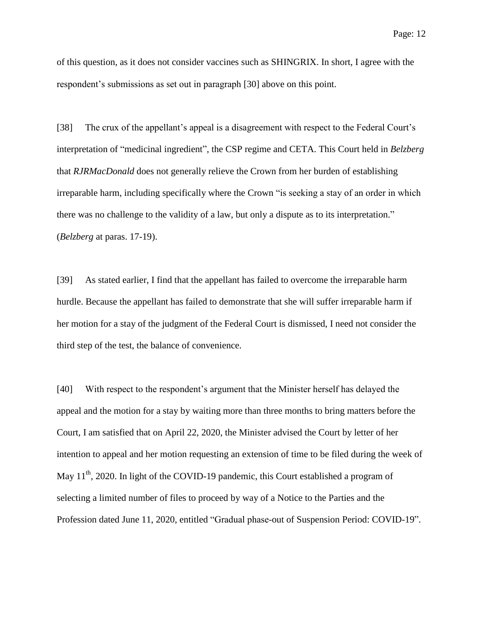of this question, as it does not consider vaccines such as SHINGRIX. In short, I agree with the respondent's submissions as set out in paragraph [\[30\]](#page-9-0) above on this point.

[38] The crux of the appellant's appeal is a disagreement with respect to the Federal Court's interpretation of "medicinal ingredient", the CSP regime and CETA. This Court held in *Belzberg*  that *RJRMacDonald* does not generally relieve the Crown from her burden of establishing irreparable harm, including specifically where the Crown "is seeking a stay of an order in which there was no challenge to the validity of a law, but only a dispute as to its interpretation." (*Belzberg* at paras. 17-19).

[39] As stated earlier, I find that the appellant has failed to overcome the irreparable harm hurdle. Because the appellant has failed to demonstrate that she will suffer irreparable harm if her motion for a stay of the judgment of the Federal Court is dismissed, I need not consider the third step of the test, the balance of convenience.

[40] With respect to the respondent's argument that the Minister herself has delayed the appeal and the motion for a stay by waiting more than three months to bring matters before the Court, I am satisfied that on April 22, 2020, the Minister advised the Court by letter of her intention to appeal and her motion requesting an extension of time to be filed during the week of May  $11<sup>th</sup>$ , 2020. In light of the COVID-19 pandemic, this Court established a program of selecting a limited number of files to proceed by way of a Notice to the Parties and the Profession dated June 11, 2020, entitled "Gradual phase-out of Suspension Period: COVID-19".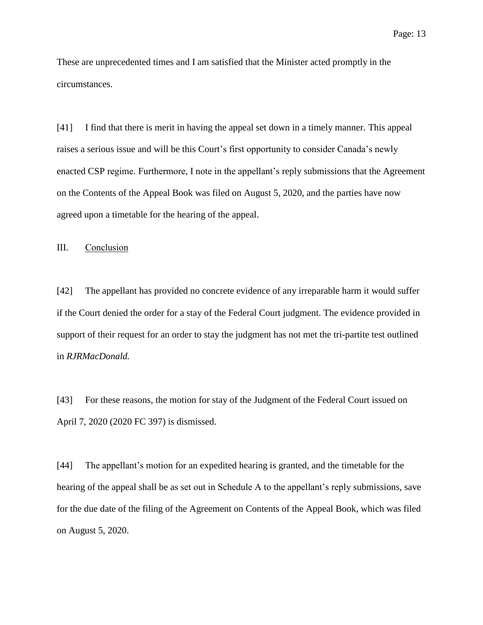These are unprecedented times and I am satisfied that the Minister acted promptly in the circumstances.

[41] I find that there is merit in having the appeal set down in a timely manner. This appeal raises a serious issue and will be this Court's first opportunity to consider Canada's newly enacted CSP regime. Furthermore, I note in the appellant's reply submissions that the Agreement on the Contents of the Appeal Book was filed on August 5, 2020, and the parties have now agreed upon a timetable for the hearing of the appeal.

III. Conclusion

[42] The appellant has provided no concrete evidence of any irreparable harm it would suffer if the Court denied the order for a stay of the Federal Court judgment. The evidence provided in support of their request for an order to stay the judgment has not met the tri-partite test outlined in *RJRMacDonald.*

[43] For these reasons, the motion for stay of the Judgment of the Federal Court issued on April 7, 2020 (2020 FC 397) is dismissed.

[44] The appellant's motion for an expedited hearing is granted, and the timetable for the hearing of the appeal shall be as set out in Schedule A to the appellant's reply submissions, save for the due date of the filing of the Agreement on Contents of the Appeal Book, which was filed on August 5, 2020.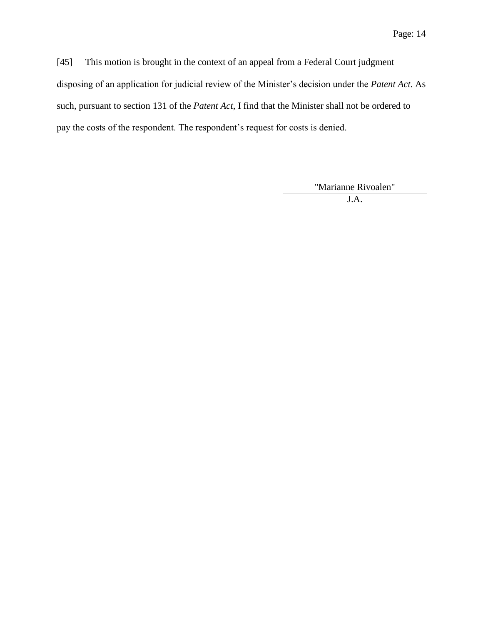[45] This motion is brought in the context of an appeal from a Federal Court judgment disposing of an application for judicial review of the Minister's decision under the *Patent Act*. As such, pursuant to section 131 of the *Patent Act*, I find that the Minister shall not be ordered to pay the costs of the respondent. The respondent's request for costs is denied.

"Marianne Rivoalen"

J.A.